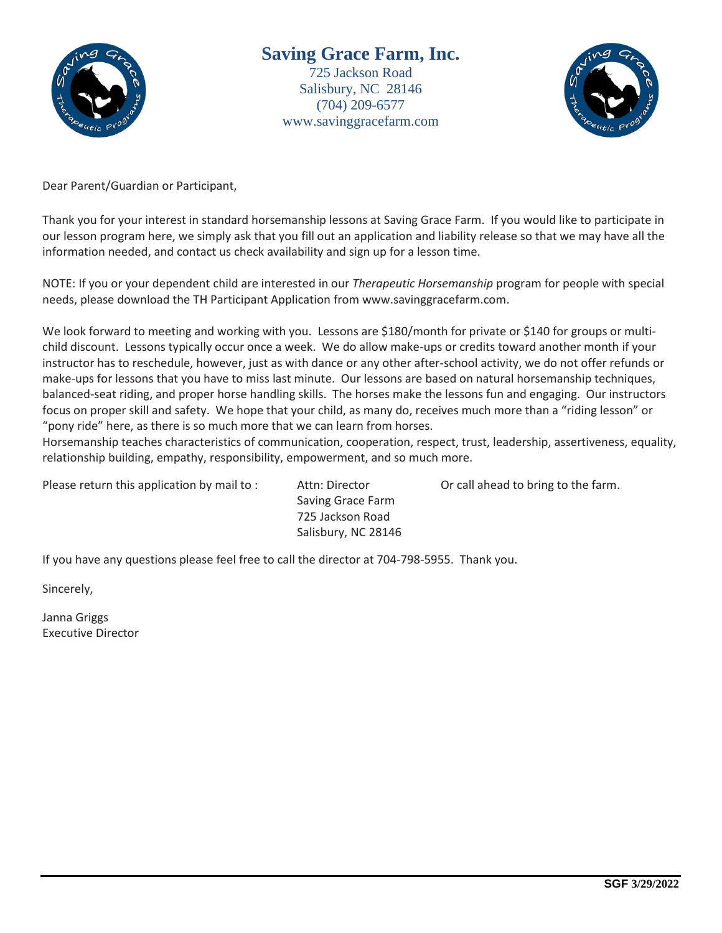

# **Saving Grace Farm, Inc.** 725 Jackson Road Salisbury, NC 28146 (704) 209-6577 www.savinggracefarm.com



Dear Parent/Guardian or Participant,

Thank you for your interest in standard horsemanship lessons at Saving Grace Farm. If you would like to participate in our lesson program here, we simply ask that you fill out an application and liability release so that we may have all the information needed, and contact us check availability and sign up for a lesson time.

NOTE: If you or your dependent child are interested in our *Therapeutic Horsemanship* program for people with special needs, please download the TH Participant Application from www.savinggracefarm.com.

We look forward to meeting and working with you. Lessons are \$180/month for private or \$140 for groups or multichild discount. Lessons typically occur once a week. We do allow make-ups or credits toward another month if your instructor has to reschedule, however, just as with dance or any other after-school activity, we do not offer refunds or make-ups for lessons that you have to miss last minute. Our lessons are based on natural horsemanship techniques, balanced-seat riding, and proper horse handling skills. The horses make the lessons fun and engaging. Our instructors focus on proper skill and safety. We hope that your child, as many do, receives much more than a "riding lesson" or "pony ride" here, as there is so much more that we can learn from horses.

Horsemanship teaches characteristics of communication, cooperation, respect, trust, leadership, assertiveness, equality, relationship building, empathy, responsibility, empowerment, and so much more.

Please return this application by mail to : Attn: Director Call ahead to bring to the farm.

 Saving Grace Farm 725 Jackson Road Salisbury, NC 28146

If you have any questions please feel free to call the director at 704-798-5955. Thank you.

Sincerely,

Janna Griggs Executive Director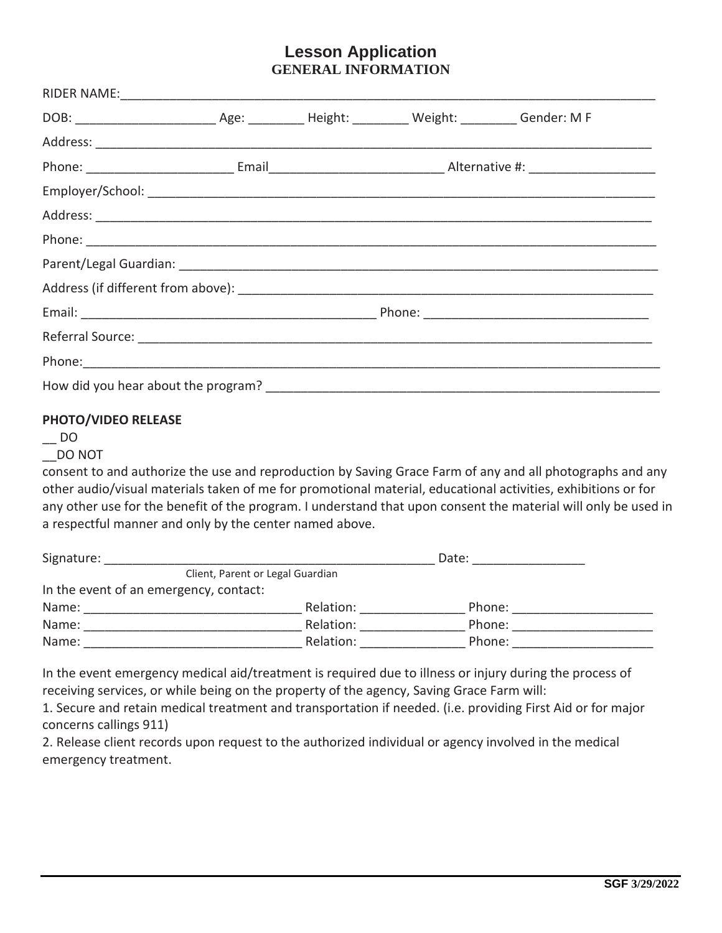# **Lesson Application GENERAL INFORMATION**

## **PHOTO/VIDEO RELEASE**

 $\overline{\phantom{0}}$  DO

## \_\_DO NOT

consent to and authorize the use and reproduction by Saving Grace Farm of any and all photographs and any other audio/visual materials taken of me for promotional material, educational activities, exhibitions or for any other use for the benefit of the program. I understand that upon consent the material will only be used in a respectful manner and only by the center named above.

| Signature:                             |                                  | Date:  |  |
|----------------------------------------|----------------------------------|--------|--|
|                                        | Client, Parent or Legal Guardian |        |  |
| In the event of an emergency, contact: |                                  |        |  |
| Name:                                  | Relation:                        | Phone: |  |
| Name:                                  | Relation:                        | Phone: |  |
| Name:                                  | Relation:                        | Phone: |  |

In the event emergency medical aid/treatment is required due to illness or injury during the process of receiving services, or while being on the property of the agency, Saving Grace Farm will:

1. Secure and retain medical treatment and transportation if needed. (i.e. providing First Aid or for major concerns callings 911)

2. Release client records upon request to the authorized individual or agency involved in the medical emergency treatment.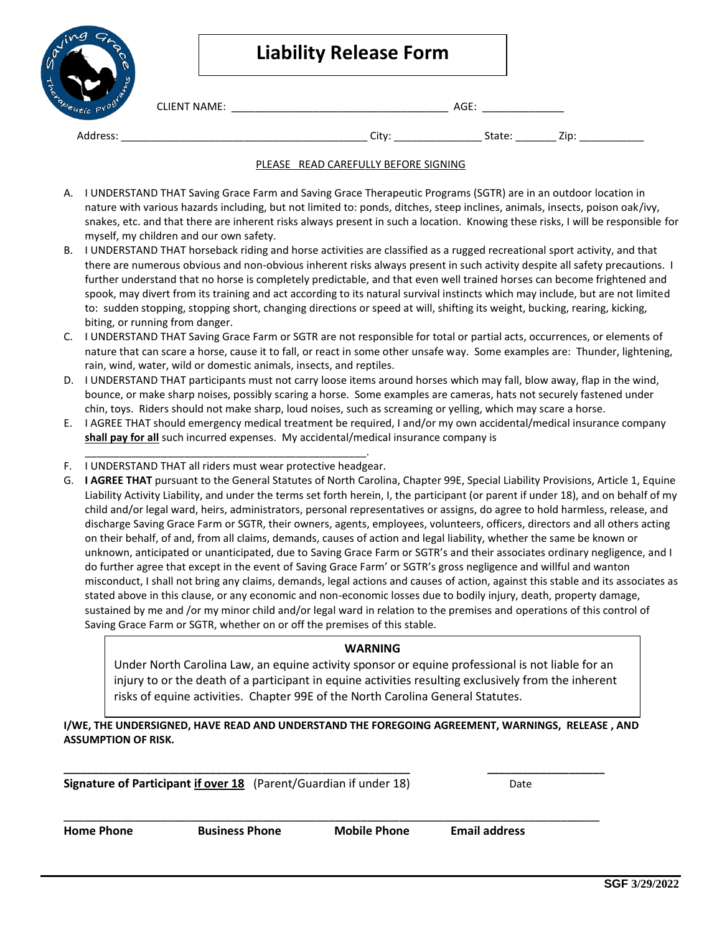| $m$ $g$<br>w<br>$\mathfrak{g}^{\mathfrak{d}}$ |                     | <b>Liability Release Form</b> |        |      |  |
|-----------------------------------------------|---------------------|-------------------------------|--------|------|--|
| ÷<br>erapeutic                                | <b>CLIENT NAME:</b> |                               | AGE:   |      |  |
| Address:                                      |                     | City:                         | State: | Zip: |  |

#### PLEASE READ CAREFULLY BEFORE SIGNING

- A. I UNDERSTAND THAT Saving Grace Farm and Saving Grace Therapeutic Programs (SGTR) are in an outdoor location in nature with various hazards including, but not limited to: ponds, ditches, steep inclines, animals, insects, poison oak/ivy, snakes, etc. and that there are inherent risks always present in such a location. Knowing these risks, I will be responsible for myself, my children and our own safety.
- B. I UNDERSTAND THAT horseback riding and horse activities are classified as a rugged recreational sport activity, and that there are numerous obvious and non-obvious inherent risks always present in such activity despite all safety precautions. I further understand that no horse is completely predictable, and that even well trained horses can become frightened and spook, may divert from its training and act according to its natural survival instincts which may include, but are not limited to: sudden stopping, stopping short, changing directions or speed at will, shifting its weight, bucking, rearing, kicking, biting, or running from danger.
- C. I UNDERSTAND THAT Saving Grace Farm or SGTR are not responsible for total or partial acts, occurrences, or elements of nature that can scare a horse, cause it to fall, or react in some other unsafe way. Some examples are: Thunder, lightening, rain, wind, water, wild or domestic animals, insects, and reptiles.
- D. I UNDERSTAND THAT participants must not carry loose items around horses which may fall, blow away, flap in the wind, bounce, or make sharp noises, possibly scaring a horse. Some examples are cameras, hats not securely fastened under chin, toys. Riders should not make sharp, loud noises, such as screaming or yelling, which may scare a horse.
- E. I AGREE THAT should emergency medical treatment be required, I and/or my own accidental/medical insurance company **shall pay for all** such incurred expenses. My accidental/medical insurance company is
- \_\_\_\_\_\_\_\_\_\_\_\_\_\_\_\_\_\_\_\_\_\_\_\_\_\_\_\_\_\_\_\_\_\_\_\_\_\_\_\_\_\_\_\_\_\_\_\_. F. I UNDERSTAND THAT all riders must wear protective headgear.
- G. **I AGREE THAT** pursuant to the General Statutes of North Carolina, Chapter 99E, Special Liability Provisions, Article 1, Equine Liability Activity Liability, and under the terms set forth herein, I, the participant (or parent if under 18), and on behalf of my child and/or legal ward, heirs, administrators, personal representatives or assigns, do agree to hold harmless, release, and discharge Saving Grace Farm or SGTR, their owners, agents, employees, volunteers, officers, directors and all others acting on their behalf, of and, from all claims, demands, causes of action and legal liability, whether the same be known or unknown, anticipated or unanticipated, due to Saving Grace Farm or SGTR's and their associates ordinary negligence, and I do further agree that except in the event of Saving Grace Farm' or SGTR's gross negligence and willful and wanton misconduct, I shall not bring any claims, demands, legal actions and causes of action, against this stable and its associates as stated above in this clause, or any economic and non-economic losses due to bodily injury, death, property damage, sustained by me and /or my minor child and/or legal ward in relation to the premises and operations of this control of Saving Grace Farm or SGTR, whether on or off the premises of this stable.

### **WARNING**

Under North Carolina Law, an equine activity sponsor or equine professional is not liable for an injury to or the death of a participant in equine activities resulting exclusively from the inherent risks of equine activities. Chapter 99E of the North Carolina General Statutes.

### **I/WE, THE UNDERSIGNED, HAVE READ AND UNDERSTAND THE FOREGOING AGREEMENT, WARNINGS, RELEASE , AND ASSUMPTION OF RISK.**

\_\_\_\_\_\_\_\_\_\_\_\_\_\_\_\_\_\_\_\_\_\_\_\_\_\_\_\_\_\_\_\_\_\_\_\_\_\_\_\_\_\_\_\_\_\_\_\_\_\_\_\_\_\_\_\_\_\_\_\_\_\_\_\_\_\_\_\_\_\_\_\_\_\_\_\_\_\_\_\_\_\_\_

**Signature of Participant if over 18** (Parent/Guardian if under 18) Date

**\_\_\_\_\_\_\_\_\_\_\_\_\_\_\_\_\_\_\_\_\_\_\_\_\_\_\_\_\_\_\_\_\_\_\_\_\_\_\_\_\_\_\_\_\_\_\_\_\_\_\_\_\_\_\_\_\_\_\_ \_\_\_\_\_\_\_\_\_\_\_\_\_\_\_\_\_\_\_\_**

**Home Phone Business Phone Mobile Phone Email address**